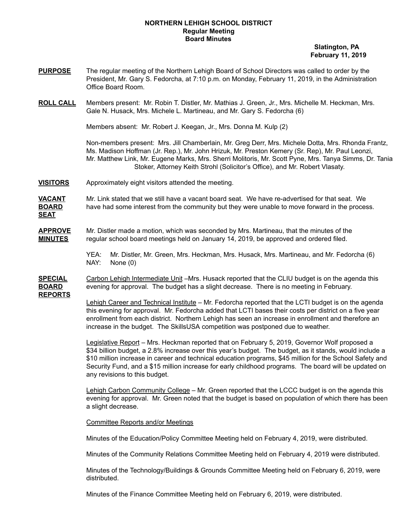## **NORTHERN LEHIGH SCHOOL DISTRICT Regular Meeting Board Minutes**

**Slatington, PA February 11, 2019**

- **PURPOSE** The regular meeting of the Northern Lehigh Board of School Directors was called to order by the President, Mr. Gary S. Fedorcha, at 7:10 p.m. on Monday, February 11, 2019, in the Administration Office Board Room.
- **ROLL CALL** Members present: Mr. Robin T. Distler, Mr. Mathias J. Green, Jr., Mrs. Michelle M. Heckman, Mrs. Gale N. Husack, Mrs. Michele L. Martineau, and Mr. Gary S. Fedorcha (6)

Members absent: Mr. Robert J. Keegan, Jr., Mrs. Donna M. Kulp (2)

Non-members present: Mrs. Jill Chamberlain, Mr. Greg Derr, Mrs. Michele Dotta, Mrs. Rhonda Frantz, Ms. Madison Hoffman (Jr. Rep.), Mr. John Hrizuk, Mr. Preston Kemery (Sr. Rep), Mr. Paul Leonzi, Mr. Matthew Link, Mr. Eugene Marks, Mrs. Sherri Molitoris, Mr. Scott Pyne, Mrs. Tanya Simms, Dr. Tania Stoker, Attorney Keith Strohl (Solicitor's Office), and Mr. Robert Vlasaty.

**VISITORS** Approximately eight visitors attended the meeting.

**VACANT** Mr. Link stated that we still have a vacant board seat. We have re-advertised for that seat. We **BOARD** have had some interest from the community but they were unable to move forward in the process. **SEAT**

**APPROVE** Mr. Distler made a motion, which was seconded by Mrs. Martineau, that the minutes of the **MINUTES** regular school board meetings held on January 14, 2019, be approved and ordered filed.

> YEA: Mr. Distler, Mr. Green, Mrs. Heckman, Mrs. Husack, Mrs. Martineau, and Mr. Fedorcha (6) NAY: None (0)

**SPECIAL** Carbon Lehigh Intermediate Unit –Mrs. Husack reported that the CLIU budget is on the agenda this **BOARD** evening for approval. The budget has a slight decrease. There is no meeting in February. **REPORTS**

> Lehigh Career and Technical Institute – Mr. Fedorcha reported that the LCTI budget is on the agenda this evening for approval. Mr. Fedorcha added that LCTI bases their costs per district on a five year enrollment from each district. Northern Lehigh has seen an increase in enrollment and therefore an increase in the budget. The SkillsUSA competition was postponed due to weather.

Legislative Report – Mrs. Heckman reported that on February 5, 2019, Governor Wolf proposed a \$34 billion budget, a 2.8% increase over this year's budget. The budget, as it stands, would include a \$10 million increase in career and technical education programs, \$45 million for the School Safety and Security Fund, and a \$15 million increase for early childhood programs. The board will be updated on any revisions to this budget.

Lehigh Carbon Community College – Mr. Green reported that the LCCC budget is on the agenda this evening for approval. Mr. Green noted that the budget is based on population of which there has been a slight decrease.

Committee Reports and/or Meetings

Minutes of the Education/Policy Committee Meeting held on February 4, 2019, were distributed.

Minutes of the Community Relations Committee Meeting held on February 4, 2019 were distributed.

Minutes of the Technology/Buildings & Grounds Committee Meeting held on February 6, 2019, were distributed.

Minutes of the Finance Committee Meeting held on February 6, 2019, were distributed.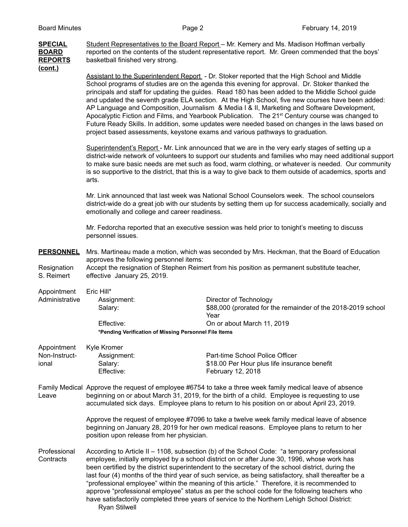| <b>SPECIAL</b><br><b>BOARD</b><br><b>REPORTS</b><br>(cont.) | Student Representatives to the Board Report - Mr. Kemery and Ms. Madison Hoffman verbally<br>reported on the contents of the student representative report. Mr. Green commended that the boys'<br>basketball finished very strong.                                                                                                                                                                                                                                                                                                                                                                                                                                                                                                                                                                        |                                                                                                                              |  |  |
|-------------------------------------------------------------|-----------------------------------------------------------------------------------------------------------------------------------------------------------------------------------------------------------------------------------------------------------------------------------------------------------------------------------------------------------------------------------------------------------------------------------------------------------------------------------------------------------------------------------------------------------------------------------------------------------------------------------------------------------------------------------------------------------------------------------------------------------------------------------------------------------|------------------------------------------------------------------------------------------------------------------------------|--|--|
|                                                             | Assistant to the Superintendent Report - Dr. Stoker reported that the High School and Middle<br>School programs of studies are on the agenda this evening for approval. Dr. Stoker thanked the<br>principals and staff for updating the guides. Read 180 has been added to the Middle School guide<br>and updated the seventh grade ELA section. At the High School, five new courses have been added:<br>AP Language and Composition, Journalism & Media I & II, Marketing and Software Development,<br>Apocalyptic Fiction and Films, and Yearbook Publication. The 21 <sup>st</sup> Century course was changed to<br>Future Ready Skills. In addition, some updates were needed based on changes in the laws based on<br>project based assessments, keystone exams and various pathways to graduation. |                                                                                                                              |  |  |
|                                                             | Superintendent's Report - Mr. Link announced that we are in the very early stages of setting up a<br>district-wide network of volunteers to support our students and families who may need additional support<br>to make sure basic needs are met such as food, warm clothing, or whatever is needed. Our community<br>is so supportive to the district, that this is a way to give back to them outside of academics, sports and<br>arts.                                                                                                                                                                                                                                                                                                                                                                |                                                                                                                              |  |  |
|                                                             | Mr. Link announced that last week was National School Counselors week. The school counselors<br>district-wide do a great job with our students by setting them up for success academically, socially and<br>emotionally and college and career readiness.                                                                                                                                                                                                                                                                                                                                                                                                                                                                                                                                                 |                                                                                                                              |  |  |
|                                                             | Mr. Fedorcha reported that an executive session was held prior to tonight's meeting to discuss<br>personnel issues.                                                                                                                                                                                                                                                                                                                                                                                                                                                                                                                                                                                                                                                                                       |                                                                                                                              |  |  |
| <b>PERSONNEL</b><br>Resignation<br>S. Reimert               | Mrs. Martineau made a motion, which was seconded by Mrs. Heckman, that the Board of Education<br>approves the following personnel items:<br>Accept the resignation of Stephen Reimert from his position as permanent substitute teacher,<br>effective January 25, 2019.                                                                                                                                                                                                                                                                                                                                                                                                                                                                                                                                   |                                                                                                                              |  |  |
| Appointment<br>Administrative                               | Eric Hill*<br>Assignment:<br>Salary:<br>Effective:<br>*Pending Verification of Missing Personnel File Items                                                                                                                                                                                                                                                                                                                                                                                                                                                                                                                                                                                                                                                                                               | Director of Technology<br>\$88,000 (prorated for the remainder of the 2018-2019 school<br>Year<br>On or about March 11, 2019 |  |  |
| Appointment<br>Non-Instruct-<br>ional                       | Kyle Kromer<br>Assignment:<br>Salary:<br>Effective:                                                                                                                                                                                                                                                                                                                                                                                                                                                                                                                                                                                                                                                                                                                                                       | Part-time School Police Officer<br>\$18.00 Per Hour plus life insurance benefit<br>February 12, 2018                         |  |  |
| Leave                                                       | Family Medical Approve the request of employee #6754 to take a three week family medical leave of absence<br>beginning on or about March 31, 2019, for the birth of a child. Employee is requesting to use<br>accumulated sick days. Employee plans to return to his position on or about April 23, 2019.                                                                                                                                                                                                                                                                                                                                                                                                                                                                                                 |                                                                                                                              |  |  |
|                                                             | Approve the request of employee #7096 to take a twelve week family medical leave of absence<br>beginning on January 28, 2019 for her own medical reasons. Employee plans to return to her<br>position upon release from her physician.                                                                                                                                                                                                                                                                                                                                                                                                                                                                                                                                                                    |                                                                                                                              |  |  |
| Professional<br>Contracts                                   | According to Article II - 1108, subsection (b) of the School Code: "a temporary professional<br>employee, initially employed by a school district on or after June 30, 1996, whose work has<br>been certified by the district superintendent to the secretary of the school district, during the<br>last four (4) months of the third year of such service, as being satisfactory, shall thereafter be a<br>"professional employee" within the meaning of this article." Therefore, it is recommended to<br>approve "professional employee" status as per the school code for the following teachers who<br>have satisfactorily completed three years of service to the Northern Lehigh School District:                                                                                                  |                                                                                                                              |  |  |

Ryan Stilwell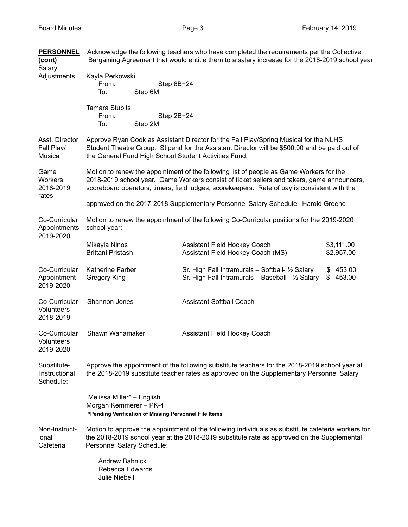**PERSONNEL** Acknowledge the following teachers who have completed the requirements per the Collective **(cont)** Bargaining Agreement that would entitle them to a salary increase for the 2018-2019 school year: Salary Adjustments Kayla Perkowski From: Step 6B+24 To: Step 6M Tamara Stubits From: Step 2B+24 To: Step 2M Asst. Director Approve Ryan Cook as Assistant Director for the Fall Play/Spring Musical for the NLHS Fall Play/ Student Theatre Group. Stipend for the Assistant Director will be \$500.00 and be paid out of Musical the General Fund High School Student Activities Fund. Game Motion to renew the appointment of the following list of people as Game Workers for the Workers 2018-2019 school year. Game Workers consist of ticket sellers and takers, game announcers, 2018-2019 scoreboard operators, timers, field judges, scorekeepers. Rate of pay is consistent with the rates approved on the 2017-2018 Supplementary Personnel Salary Schedule: Harold Greene Co-Curricular Motion to renew the appointment of the following Co-Curricular positions for the 2019-2020 Appointments school year: 2019-2020 Mikayla Ninos **Assistant Field Hockey Coach** \$3,111.00 Brittani Pristash **Assistant Field Hockey Coach (MS)** \$2,957.00 Co-Curricular Katherine Farber Sr. High Fall Intramurals – Softball- 1/2 Salary \$ 453.00 Appointment Gregory King Sr. High Fall Intramurals – Baseball - 1/2 Salary \$ 453.00 2019-2020 Co-Curricular Shannon Jones Assistant Softball Coach Volunteers 2018-2019 Co-Curricular Shawn Wanamaker Assistant Field Hockey Coach **Volunteers** 2019-2020 Substitute- Approve the appointment of the following substitute teachers for the 2018-2019 school year at Instructional the 2018-2019 substitute teacher rates as approved on the Supplementary Personnel Salary Schedule: Melissa Miller\* – English Morgan Kemmerer – PK-4 **\*Pending Verification of Missing Personnel File Items** Non-Instruct- Motion to approve the appointment of the following individuals as substitute cafeteria workers for ional the 2018-2019 school year at the 2018-2019 substitute rate as approved on the Supplemental Cafeteria Personnel Salary Schedule: Andrew Bahnick Rebecca Edwards Julie Niebell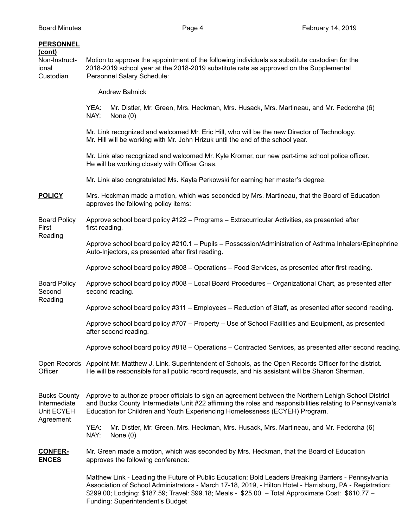## **PERSONNEL**

## **(cont)**

Non-Instruct- Motion to approve the appointment of the following individuals as substitute custodian for the ional 2018-2019 school year at the 2018-2019 substitute rate as approved on the Supplemental Custodian Personnel Salary Schedule:

Andrew Bahnick

YEA: Mr. Distler, Mr. Green, Mrs. Heckman, Mrs. Husack, Mrs. Martineau, and Mr. Fedorcha (6) NAY: None (0)

Mr. Link recognized and welcomed Mr. Eric Hill, who will be the new Director of Technology. Mr. Hill will be working with Mr. John Hrizuk until the end of the school year.

Mr. Link also recognized and welcomed Mr. Kyle Kromer, our new part-time school police officer. He will be working closely with Officer Gnas.

Mr. Link also congratulated Ms. Kayla Perkowski for earning her master's degree.

**POLICY** Mrs. Heckman made a motion, which was seconded by Mrs. Martineau, that the Board of Education approves the following policy items:

Board Policy Approve school board policy #122 – Programs – Extracurricular Activities, as presented after First first reading.

Reading Approve school board policy #210.1 – Pupils – Possession/Administration of Asthma Inhalers/Epinephrine Auto-Injectors, as presented after first reading.

Approve school board policy #808 – Operations – Food Services, as presented after first reading.

Board Policy Approve school board policy #008 – Local Board Procedures – Organizational Chart, as presented after Second second reading. Reading

Approve school board policy #311 – Employees – Reduction of Staff, as presented after second reading.

Approve school board policy #707 – Property – Use of School Facilities and Equipment, as presented after second reading.

Approve school board policy #818 – Operations – Contracted Services, as presented after second reading.

Open Records Appoint Mr. Matthew J. Link, Superintendent of Schools, as the Open Records Officer for the district. Officer He will be responsible for all public record requests, and his assistant will be Sharon Sherman.

Bucks County Approve to authorize proper officials to sign an agreement between the Northern Lehigh School District Intermediate and Bucks County Intermediate Unit #22 affirming the roles and responsibilities relating to Pennsylvania's Unit ECYEH Education for Children and Youth Experiencing Homelessness (ECYEH) Program. Agreement

YEA: Mr. Distler, Mr. Green, Mrs. Heckman, Mrs. Husack, Mrs. Martineau, and Mr. Fedorcha (6) NAY: None (0)

## **CONFER-** Mr. Green made a motion, which was seconded by Mrs. Heckman, that the Board of Education **ENCES** approves the following conference:

Matthew Link - Leading the Future of Public Education: Bold Leaders Breaking Barriers - Pennsylvania Association of School Administrators - March 17-18, 2019, - Hilton Hotel - Harrisburg, PA - Registration: \$299.00; Lodging: \$187.59; Travel: \$99.18; Meals - \$25.00 – Total Approximate Cost: \$610.77 – Funding: Superintendent's Budget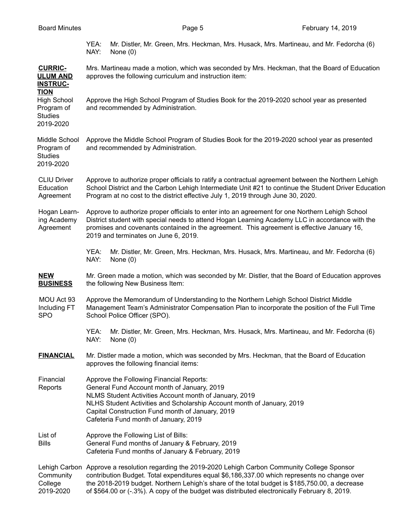|  | <b>Board Minutes</b> |
|--|----------------------|
|--|----------------------|

YEA: Mr. Distler, Mr. Green, Mrs. Heckman, Mrs. Husack, Mrs. Martineau, and Mr. Fedorcha (6) NAY: None (0)

| <b>CURRIC-</b><br><b>ULUM AND</b><br><b>INSTRUC-</b>                           | Mrs. Martineau made a motion, which was seconded by Mrs. Heckman, that the Board of Education<br>approves the following curriculum and instruction item:                                                                                                                                                                                                                                            |  |  |  |
|--------------------------------------------------------------------------------|-----------------------------------------------------------------------------------------------------------------------------------------------------------------------------------------------------------------------------------------------------------------------------------------------------------------------------------------------------------------------------------------------------|--|--|--|
| <b>TION</b><br><b>High School</b><br>Program of<br><b>Studies</b><br>2019-2020 | Approve the High School Program of Studies Book for the 2019-2020 school year as presented<br>and recommended by Administration.                                                                                                                                                                                                                                                                    |  |  |  |
| Middle School<br>Program of<br><b>Studies</b><br>2019-2020                     | Approve the Middle School Program of Studies Book for the 2019-2020 school year as presented<br>and recommended by Administration.                                                                                                                                                                                                                                                                  |  |  |  |
| <b>CLIU Driver</b><br>Education<br>Agreement                                   | Approve to authorize proper officials to ratify a contractual agreement between the Northern Lehigh<br>School District and the Carbon Lehigh Intermediate Unit #21 to continue the Student Driver Education<br>Program at no cost to the district effective July 1, 2019 through June 30, 2020.                                                                                                     |  |  |  |
| Hogan Learn-<br>ing Academy<br>Agreement                                       | Approve to authorize proper officials to enter into an agreement for one Northern Lehigh School<br>District student with special needs to attend Hogan Learning Academy LLC in accordance with the<br>promises and covenants contained in the agreement. This agreement is effective January 16,<br>2019 and terminates on June 6, 2019.                                                            |  |  |  |
|                                                                                | YEA:<br>Mr. Distler, Mr. Green, Mrs. Heckman, Mrs. Husack, Mrs. Martineau, and Mr. Fedorcha (6)<br>NAY:<br>None $(0)$                                                                                                                                                                                                                                                                               |  |  |  |
| <b>NEW</b><br><b>BUSINESS</b>                                                  | Mr. Green made a motion, which was seconded by Mr. Distler, that the Board of Education approves<br>the following New Business Item:                                                                                                                                                                                                                                                                |  |  |  |
| MOU Act 93<br>Including FT<br><b>SPO</b>                                       | Approve the Memorandum of Understanding to the Northern Lehigh School District Middle<br>Management Team's Administrator Compensation Plan to incorporate the position of the Full Time<br>School Police Officer (SPO).                                                                                                                                                                             |  |  |  |
|                                                                                | YEA:<br>Mr. Distler, Mr. Green, Mrs. Heckman, Mrs. Husack, Mrs. Martineau, and Mr. Fedorcha (6)<br>NAY:<br>None $(0)$                                                                                                                                                                                                                                                                               |  |  |  |
| <b>FINANCIAL</b>                                                               | Mr. Distler made a motion, which was seconded by Mrs. Heckman, that the Board of Education<br>approves the following financial items:                                                                                                                                                                                                                                                               |  |  |  |
| Financial<br>Reports                                                           | Approve the Following Financial Reports:<br>General Fund Account month of January, 2019<br>NLMS Student Activities Account month of January, 2019<br>NLHS Student Activities and Scholarship Account month of January, 2019<br>Capital Construction Fund month of January, 2019<br>Cafeteria Fund month of January, 2019                                                                            |  |  |  |
| List of<br><b>Bills</b>                                                        | Approve the Following List of Bills:<br>General Fund months of January & February, 2019<br>Cafeteria Fund months of January & February, 2019                                                                                                                                                                                                                                                        |  |  |  |
| Community<br>College<br>2019-2020                                              | Lehigh Carbon Approve a resolution regarding the 2019-2020 Lehigh Carbon Community College Sponsor<br>contribution Budget. Total expenditures equal \$6,186,337.00 which represents no change over<br>the 2018-2019 budget. Northern Lehigh's share of the total budget is \$185,750.00, a decrease<br>of \$564.00 or (-.3%). A copy of the budget was distributed electronically February 8, 2019. |  |  |  |